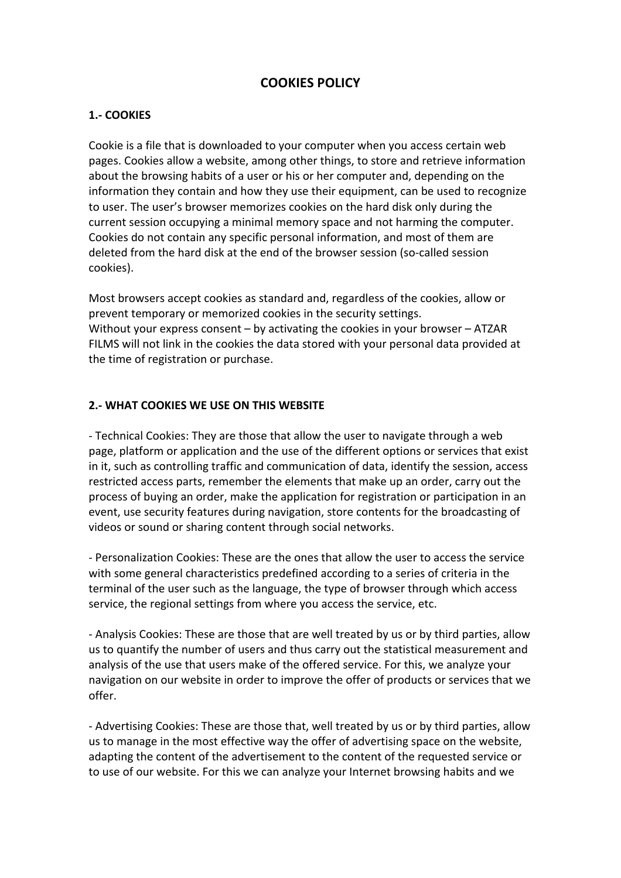# **COOKIES POLICY**

### **1.- COOKIES**

Cookie is a file that is downloaded to your computer when you access certain web pages. Cookies allow a website, among other things, to store and retrieve information about the browsing habits of a user or his or her computer and, depending on the information they contain and how they use their equipment, can be used to recognize to user. The user's browser memorizes cookies on the hard disk only during the current session occupying a minimal memory space and not harming the computer. Cookies do not contain any specific personal information, and most of them are deleted from the hard disk at the end of the browser session (so-called session cookies).

Most browsers accept cookies as standard and, regardless of the cookies, allow or prevent temporary or memorized cookies in the security settings. Without your express consent  $-$  by activating the cookies in your browser  $-$  ATZAR FILMS will not link in the cookies the data stored with your personal data provided at the time of registration or purchase.

#### **2.- WHAT COOKIES WE USE ON THIS WEBSITE**

- Technical Cookies: They are those that allow the user to navigate through a web page, platform or application and the use of the different options or services that exist in it, such as controlling traffic and communication of data, identify the session, access restricted access parts, remember the elements that make up an order, carry out the process of buying an order, make the application for registration or participation in an event, use security features during navigation, store contents for the broadcasting of videos or sound or sharing content through social networks.

- Personalization Cookies: These are the ones that allow the user to access the service with some general characteristics predefined according to a series of criteria in the terminal of the user such as the language, the type of browser through which access service, the regional settings from where you access the service, etc.

- Analysis Cookies: These are those that are well treated by us or by third parties, allow us to quantify the number of users and thus carry out the statistical measurement and analysis of the use that users make of the offered service. For this, we analyze your navigation on our website in order to improve the offer of products or services that we offer.

- Advertising Cookies: These are those that, well treated by us or by third parties, allow us to manage in the most effective way the offer of advertising space on the website, adapting the content of the advertisement to the content of the requested service or to use of our website. For this we can analyze your Internet browsing habits and we